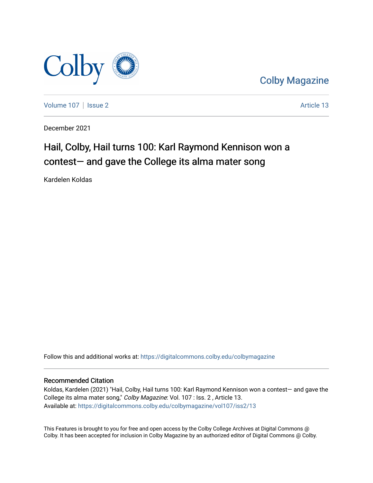

[Colby Magazine](https://digitalcommons.colby.edu/colbymagazine) 

[Volume 107](https://digitalcommons.colby.edu/colbymagazine/vol107) | [Issue 2](https://digitalcommons.colby.edu/colbymagazine/vol107/iss2) Article 13

December 2021

## Hail, Colby, Hail turns 100: Karl Raymond Kennison won a contest— and gave the College its alma mater song

Kardelen Koldas

Follow this and additional works at: [https://digitalcommons.colby.edu/colbymagazine](https://digitalcommons.colby.edu/colbymagazine?utm_source=digitalcommons.colby.edu%2Fcolbymagazine%2Fvol107%2Fiss2%2F13&utm_medium=PDF&utm_campaign=PDFCoverPages)

### Recommended Citation

Koldas, Kardelen (2021) "Hail, Colby, Hail turns 100: Karl Raymond Kennison won a contest— and gave the College its alma mater song," Colby Magazine: Vol. 107 : Iss. 2 , Article 13. Available at: [https://digitalcommons.colby.edu/colbymagazine/vol107/iss2/13](https://digitalcommons.colby.edu/colbymagazine/vol107/iss2/13?utm_source=digitalcommons.colby.edu%2Fcolbymagazine%2Fvol107%2Fiss2%2F13&utm_medium=PDF&utm_campaign=PDFCoverPages)

This Features is brought to you for free and open access by the Colby College Archives at Digital Commons @ Colby. It has been accepted for inclusion in Colby Magazine by an authorized editor of Digital Commons @ Colby.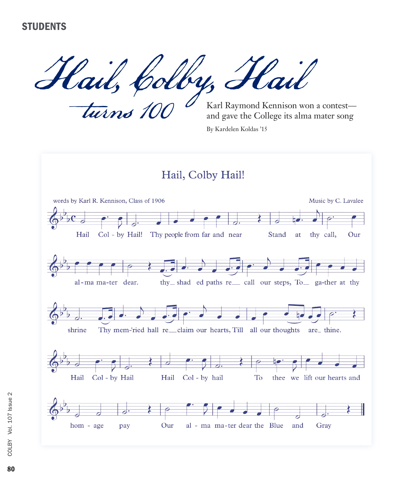Hail, Colby, Hail

turns 100

Karl Raymond Kennison won a contest and gave the College its alma mater song

By Kardelen Koldas '15

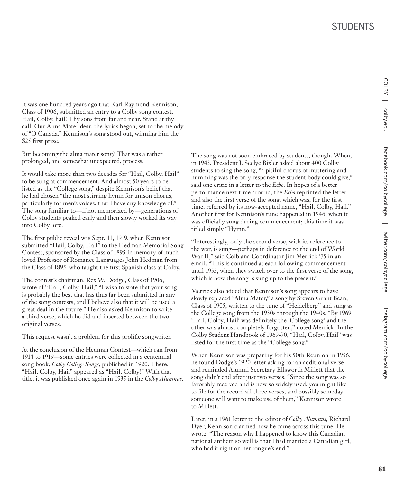It was one hundred years ago that Karl Raymond Kennison, Class of 1906, submitted an entry to a Colby song contest. Hail, Colby, hail! Thy sons from far and near. Stand at thy call, Our Alma Mater dear, the lyrics began, set to the melody of "O Canada." Kennison's song stood out, winning him the \$25 first prize.

But becoming the alma mater song? That was a rather prolonged, and somewhat unexpected, process.

It would take more than two decades for "Hail, Colby, Hail" to be sung at commencement. And almost 50 years to be listed as the "College song," despite Kennison's belief that he had chosen "the most stirring hymn for unison chorus, particularly for men's voices, that I have any knowledge of." The song familiar to—if not memorized by—generations of Colby students peaked early and then slowly worked its way into Colby lore.

The first public reveal was Sept. 11, 1919, when Kennison submitted "Hail, Colby, Hail" to the Hedman Memorial Song Contest, sponsored by the Class of 1895 in memory of muchloved Professor of Romance Languages John Hedman from the Class of 1895, who taught the first Spanish class at Colby.

The contest's chairman, Rex W. Dodge, Class of 1906, wrote of "Hail, Colby, Hail," "I wish to state that your song is probably the best that has thus far been submitted in any of the song contests, and I believe also that it will be used a great deal in the future." He also asked Kennison to write a third verse, which he did and inserted between the two original verses.

This request wasn't a problem for this prolific songwriter.

At the conclusion of the Hedman Contest—which ran from 1914 to 1919—some entries were collected in a centennial song book, *Colby College Songs*, published in 1920. There, "Hail, Colby, Hail" appeared as "Hail, Colby!" With that title, it was published once again in 1935 in the *Colby Alumnus*. The song was not soon embraced by students, though. When, in 1943, President J. Seelye Bixler asked about 400 Colby students to sing the song, "a pitiful chorus of muttering and humming was the only response the student body could give," said one critic in a letter to the *Echo*. In hopes of a better performance next time around, the *Echo* reprinted the letter, and also the first verse of the song, which was, for the first time, referred by its now-accepted name, "Hail, Colby, Hail." Another first for Kennison's tune happened in 1946, when it was officially sung during commencement; this time it was titled simply "Hymn."

"Interestingly, only the second verse, with its reference to the war, is sung—perhaps in deference to the end of World War II," said Colbiana Coordinator Jim Merrick '75 in an email. "This is continued at each following commencement until 1955, when they switch over to the first verse of the song, which is how the song is sung up to the present."

Merrick also added that Kennison's song appears to have slowly replaced "Alma Mater," a song by Steven Grant Bean, Class of 1905, written to the tune of "Heidelberg" and sung as the College song from the 1930s through the 1940s. "By 1969 'Hail, Colby, Hail' was definitely the 'College song' and the other was almost completely forgotten," noted Merrick. In the Colby Student Handbook of 1969-70, "Hail, Colby, Hail" was listed for the first time as the "College song."

When Kennison was preparing for his 50th Reunion in 1956, he found Dodge's 1920 letter asking for an additional verse and reminded Alumni Secretary Ellsworth Millett that the song didn't end after just two verses. "Since the song was so favorably received and is now so widely used, you might like to file for the record all three verses, and possibly someday someone will want to make use of them," Kennison wrote to Millett.

Later, in a 1961 letter to the editor of *Colby Alumnus*, Richard Dyer, Kennison clarified how he came across this tune. He wrote, "The reason why I happened to know this Canadian national anthem so well is that I had married a Canadian girl, who had it right on her tongue's end."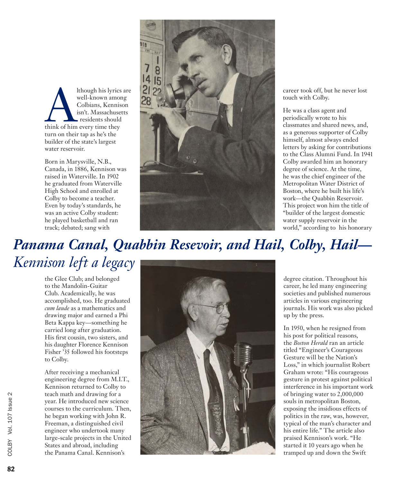Although his lyrics are<br>
well-known among<br>
Colbians, Kennison<br>
isn't. Massachusetts<br>
residents should<br>
think of him every time they well-known among Colbians, Kennison isn't. Massachusetts residents should turn on their tap as he's the builder of the state's largest water reservoir.

Born in Marysville, N.B., Canada, in 1886, Kennison was raised in Waterville. In 1902 he graduated from Waterville High School and enrolled at Colby to become a teacher. Even by today's standards, he was an active Colby student: he played basketball and ran track; debated; sang with



career took off, but he never lost touch with Colby.

He was a class agent and periodically wrote to his classmates and shared news, and, as a generous supporter of Colby himself, almost always ended letters by asking for contributions to the Class Alumni Fund. In 1941 Colby awarded him an honorary degree of science. At the time, he was the chief engineer of the Metropolitan Water District of Boston, where he built his life's work—the Quabbin Reservoir. This project won him the title of "builder of the largest domestic water supply reservoir in the world," according to his honorary

# *Panama Canal, Quabbin Resevoir, and Hail, Colby, Hail— Kennison left a legacy*

the Glee Club; and belonged to the Mandolin-Guitar Club. Academically, he was accomplished, too. He graduated *cum laude* as a mathematics and drawing major and earned a Phi Beta Kappa key—something he carried long after graduation. His first cousin, two sisters, and his daughter Florence Kennison Fisher '35 followed his footsteps to Colby.

After receiving a mechanical engineering degree from M.I.T., Kennison returned to Colby to teach math and drawing for a year. He introduced new science courses to the curriculum. Then, he began working with John R. Freeman, a distinguished civil engineer who undertook many large-scale projects in the United States and abroad, including the Panama Canal. Kennison's



degree citation. Throughout his career, he led many engineering societies and published numerous articles in various engineering journals. His work was also picked up by the press.

In 1950, when he resigned from his post for political reasons, the *Boston Herald* ran an article titled "Engineer's Courageous Gesture will be the Nation's Loss," in which journalist Robert Graham wrote: "His courageous gesture in protest against political interference in his important work of bringing water to 2,000,000 souls in metropolitan Boston, exposing the insidious effects of politics in the raw, was, however, typical of the man's character and his entire life." The article also praised Kennison's work. "He started it 10 years ago when he tramped up and down the Swift

82